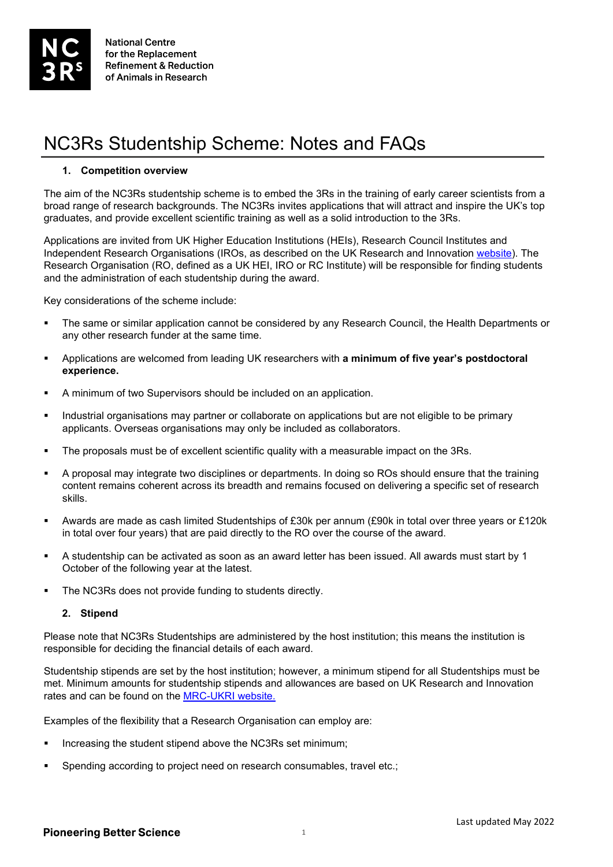# NC3Rs Studentship Scheme: Notes and FAQs

#### **1. Competition overview**

The aim of the NC3Rs studentship scheme is to embed the 3Rs in the training of early career scientists from a broad range of research backgrounds. The NC3Rs invites applications that will attract and inspire the UK's top graduates, and provide excellent scientific training as well as a solid introduction to the 3Rs.

Applications are invited from UK Higher Education Institutions (HEIs), Research Council Institutes and Independent Research Organisations (IROs, as described on the UK Research and Innovation [website\)](https://www.ukri.org/funding/how-to-apply/eligibility/#pagecontentid-2). The Research Organisation (RO, defined as a UK HEI, IRO or RC Institute) will be responsible for finding students and the administration of each studentship during the award.

Key considerations of the scheme include:

- The same or similar application cannot be considered by any Research Council, the Health Departments or any other research funder at the same time.
- Applications are welcomed from leading UK researchers with **a minimum of five year's postdoctoral experience.**
- A minimum of two Supervisors should be included on an application.
- **Industrial organisations may partner or collaborate on applications but are not eligible to be primary** applicants. Overseas organisations may only be included as collaborators.
- The proposals must be of excellent scientific quality with a measurable impact on the 3Rs.
- A proposal may integrate two disciplines or departments. In doing so ROs should ensure that the training content remains coherent across its breadth and remains focused on delivering a specific set of research skills.
- Awards are made as cash limited Studentships of £30k per annum (£90k in total over three years or £120k in total over four years) that are paid directly to the RO over the course of the award.
- A studentship can be activated as soon as an award letter has been issued. All awards must start by 1 October of the following year at the latest.
- The NC3Rs does not provide funding to students directly.

#### **2. Stipend**

Please note that NC3Rs Studentships are administered by the host institution; this means the institution is responsible for deciding the financial details of each award.

Studentship stipends are set by the host institution; however, a minimum stipend for all Studentships must be met. Minimum amounts for studentship stipends and allowances are based on UK Research and Innovation rates and can be found on the [MRC-UKRI website.](https://www.ukri.org/councils/mrc/career-and-skills-development/mrc-studentships/minimum-amounts-for-studentship-stipends-and-allowances/)

Examples of the flexibility that a Research Organisation can employ are:

- Increasing the student stipend above the NC3Rs set minimum;
- Spending according to project need on research consumables, travel etc.;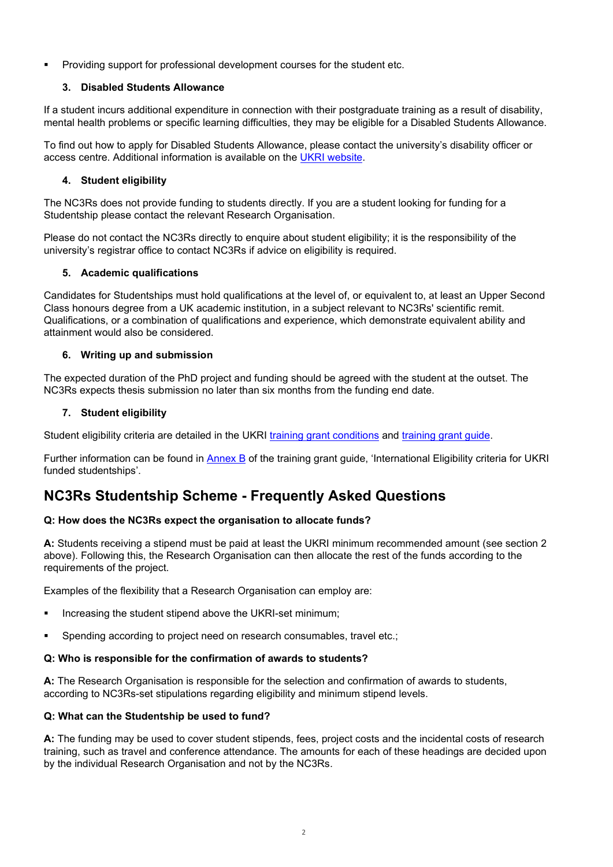**Providing support for professional development courses for the student etc.** 

# **3. Disabled Students Allowance**

If a student incurs additional expenditure in connection with their postgraduate training as a result of disability, mental health problems or specific learning difficulties, they may be eligible for a Disabled Students Allowance.

To find out how to apply for Disabled Students Allowance, please contact the university's disability officer or access centre. Additional information is available on the [UKRI website.](https://www.ukri.org/skills/funding-for-research-training/)

# **4. Student eligibility**

The NC3Rs does not provide funding to students directly. If you are a student looking for funding for a Studentship please contact the relevant Research Organisation.

Please do not contact the NC3Rs directly to enquire about student eligibility; it is the responsibility of the university's registrar office to contact NC3Rs if advice on eligibility is required.

#### **5. Academic qualifications**

Candidates for Studentships must hold qualifications at the level of, or equivalent to, at least an Upper Second Class honours degree from a UK academic institution, in a subject relevant to NC3Rs' scientific remit. Qualifications, or a combination of qualifications and experience, which demonstrate equivalent ability and attainment would also be considered.

# **6. Writing up and submission**

The expected duration of the PhD project and funding should be agreed with the student at the outset. The NC3Rs expects thesis submission no later than six months from the funding end date.

# **7. Student eligibility**

Student eligibility criteria are detailed in the UKRI [training grant conditions](https://www.ukri.org/apply-for-funding/before-you-apply/your-responsibilities-if-you-get-funding/meeting-ukri-terms-and-conditions-for-funding/) and [training grant guide.](https://www.ukri.org/apply-for-funding/before-you-apply/your-responsibilities-if-you-get-funding/meeting-ukri-terms-and-conditions-for-funding/)

Further information can be found in [Annex B](https://www.ukri.org/wp-content/uploads/2020/10/UKRI-291020-guidance-to-training-grant-terms-and-conditions.pdf) of the training grant guide, 'International Eligibility criteria for UKRI funded studentships'.

# **NC3Rs Studentship Scheme - Frequently Asked Questions**

#### **Q: How does the NC3Rs expect the organisation to allocate funds?**

**A:** Students receiving a stipend must be paid at least the UKRI minimum recommended amount (see section 2 above). Following this, the Research Organisation can then allocate the rest of the funds according to the requirements of the project.

Examples of the flexibility that a Research Organisation can employ are:

- Increasing the student stipend above the UKRI-set minimum;
- **Spending according to project need on research consumables, travel etc.;**

#### **Q: Who is responsible for the confirmation of awards to students?**

**A:** The Research Organisation is responsible for the selection and confirmation of awards to students, according to NC3Rs-set stipulations regarding eligibility and minimum stipend levels.

#### **Q: What can the Studentship be used to fund?**

**A:** The funding may be used to cover student stipends, fees, project costs and the incidental costs of research training, such as travel and conference attendance. The amounts for each of these headings are decided upon by the individual Research Organisation and not by the NC3Rs.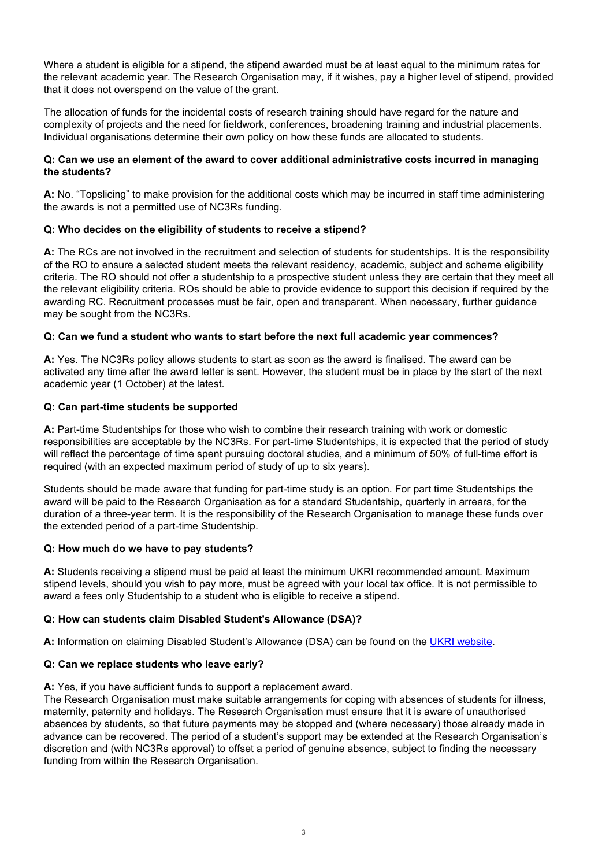Where a student is eligible for a stipend, the stipend awarded must be at least equal to the minimum rates for the relevant academic year. The Research Organisation may, if it wishes, pay a higher level of stipend, provided that it does not overspend on the value of the grant.

The allocation of funds for the incidental costs of research training should have regard for the nature and complexity of projects and the need for fieldwork, conferences, broadening training and industrial placements. Individual organisations determine their own policy on how these funds are allocated to students.

#### **Q: Can we use an element of the award to cover additional administrative costs incurred in managing the students?**

**A:** No. "Topslicing" to make provision for the additional costs which may be incurred in staff time administering the awards is not a permitted use of NC3Rs funding.

# **Q: Who decides on the eligibility of students to receive a stipend?**

**A:** The RCs are not involved in the recruitment and selection of students for studentships. It is the responsibility of the RO to ensure a selected student meets the relevant residency, academic, subject and scheme eligibility criteria. The RO should not offer a studentship to a prospective student unless they are certain that they meet all the relevant eligibility criteria. ROs should be able to provide evidence to support this decision if required by the awarding RC. Recruitment processes must be fair, open and transparent. When necessary, further guidance may be sought from the NC3Rs.

# **Q: Can we fund a student who wants to start before the next full academic year commences?**

**A:** Yes. The NC3Rs policy allows students to start as soon as the award is finalised. The award can be activated any time after the award letter is sent. However, the student must be in place by the start of the next academic year (1 October) at the latest.

#### **Q: Can part-time students be supported**

**A:** Part-time Studentships for those who wish to combine their research training with work or domestic responsibilities are acceptable by the NC3Rs. For part-time Studentships, it is expected that the period of study will reflect the percentage of time spent pursuing doctoral studies, and a minimum of 50% of full-time effort is required (with an expected maximum period of study of up to six years).

Students should be made aware that funding for part-time study is an option. For part time Studentships the award will be paid to the Research Organisation as for a standard Studentship, quarterly in arrears, for the duration of a three-year term. It is the responsibility of the Research Organisation to manage these funds over the extended period of a part-time Studentship.

#### **Q: How much do we have to pay students?**

**A:** Students receiving a stipend must be paid at least the minimum UKRI recommended amount. Maximum stipend levels, should you wish to pay more, must be agreed with your local tax office. It is not permissible to award a fees only Studentship to a student who is eligible to receive a stipend.

#### **Q: How can students claim Disabled Student's Allowance (DSA)?**

**A:** Information on claiming Disabled Student's Allowance (DSA) can be found on the [UKRI website.](https://www.ukri.org/skills/funding-for-research-training/)

# **Q: Can we replace students who leave early?**

#### **A:** Yes, if you have sufficient funds to support a replacement award.

The Research Organisation must make suitable arrangements for coping with absences of students for illness, maternity, paternity and holidays. The Research Organisation must ensure that it is aware of unauthorised absences by students, so that future payments may be stopped and (where necessary) those already made in advance can be recovered. The period of a student's support may be extended at the Research Organisation's discretion and (with NC3Rs approval) to offset a period of genuine absence, subject to finding the necessary funding from within the Research Organisation.